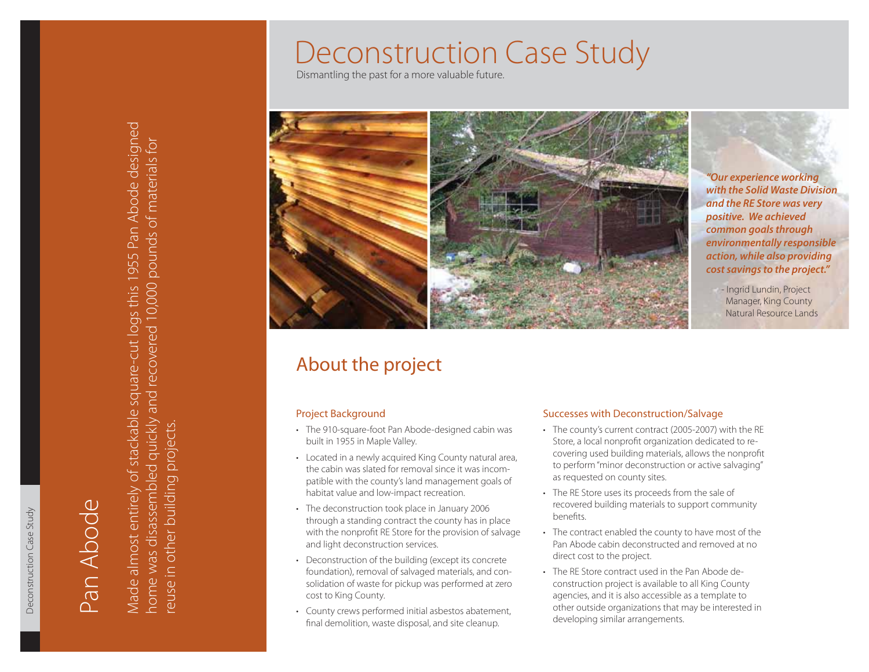# Deconstruction Case Study

Dismantling the past for a more valuable future.



*"Our experience working with the Solid Waste Division and the RE Store was very positive. We achieved common goals through environmentally responsible action, while also providing cost savings to the project."*

- Ingrid Lundin, Project Manager, King County Natural Resource Lands

## About the project

### Project Background

- The 910-square-foot Pan Abode-designed cabin was built in 1955 in Maple Valley.
- Located in a newly acquired King County natural area, the cabin was slated for removal since it was incompatible with the county's land management goals of habitat value and low-impact recreation.
- The deconstruction took place in January 2006 through a standing contract the county has in place with the nonprofit RE Store for the provision of salvage and light deconstruction services.
- Deconstruction of the building (except its concrete foundation), removal of salvaged materials, and consolidation of waste for pickup was performed at zero cost to King County.
- County crews performed initial asbestos abatement, final demolition, waste disposal, and site cleanup.

### Successes with Deconstruction/Salvage

- The county's current contract (2005-2007) with the RE Store, a local nonprofit organization dedicated to recovering used building materials, allows the nonprofit to perform "minor deconstruction or active salvaging" as requested on county sites.
- The RE Store uses its proceeds from the sale of recovered building materials to support community benefits.
- The contract enabled the county to have most of the •Pan Abode cabin deconstructed and removed at no direct cost to the project.
- The RE Store contract used in the Pan Abode de-•construction project is available to all King County agencies, and it is also accessible as a template to other outside organizations that may be interested in developing similar arrangements.

Deconstruction Case Study

Deconstruction Case Study

Pan Abode

BodA nac